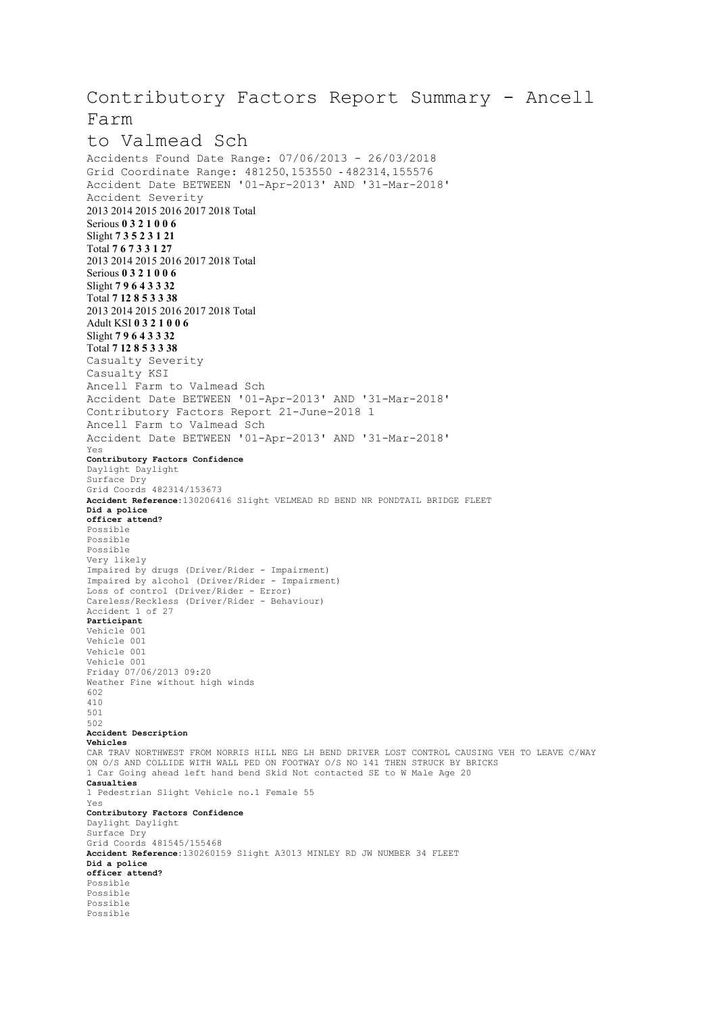## Contributory Factors Report Summary - Ancell Farm

## to Valmead Sch Accidents Found Date Range: 07/06/2013 - 26/03/2018 Grid Coordinate Range: 481250, 153550 - 482314, 155576 Accident Date BETWEEN '01-Apr-2013' AND '31-Mar-2018' Accident Severity 2013 2014 2015 2016 2017 2018 Total Serious **0 3 2 1 0 0 6** Slight **7 3 5 2 3 1 21** Total **7 6 7 3 3 1 27** 2013 2014 2015 2016 2017 2018 Total Serious **0 3 2 1 0 0 6** Slight **7 9 6 4 3 3 32** Total **7 12 8 5 3 3 38** 2013 2014 2015 2016 2017 2018 Total Adult KSI **0 3 2 1 0 0 6** Slight **7 9 6 4 3 3 32** Total **7 12 8 5 3 3 38** Casualty Severity Casualty KSI Ancell Farm to Valmead Sch Accident Date BETWEEN '01-Apr-2013' AND '31-Mar-2018' Contributory Factors Report 21-June-2018 1 Ancell Farm to Valmead Sch Accident Date BETWEEN '01-Apr-2013' AND '31-Mar-2018' Yes **Contributory Factors Confidence** Daylight Daylight Surface Dry Grid Coords 482314/153673 **Accident Reference:**130206416 Slight VELMEAD RD BEND NR PONDTAIL BRIDGE FLEET **Did a police officer attend?** Possible Possible Possible Very likely Impaired by drugs (Driver/Rider - Impairment) Impaired by alcohol (Driver/Rider - Impairment) Loss of control (Driver/Rider - Error) Careless/Reckless (Driver/Rider - Behaviour)

Accident 1 of 27 **Participant** Vehicle 001 Vehicle 001 Vehicle 001 Vehicle 001 Friday 07/06/2013 09:20 Weather Fine without high winds 602 410 501 502 **Accident Description Vehicles** CAR TRAV NORTHWEST FROM NORRIS HILL NEG LH BEND DRIVER LOST CONTROL CAUSING VEH TO LEAVE C/WAY ON O/S AND COLLIDE WITH WALL PED ON FOOTWAY O/S NO 141 THEN STRUCK BY BRICKS 1 Car Going ahead left hand bend Skid Not contacted SE to W Male Age 20 **Casualties** 1 Pedestrian Slight Vehicle no.1 Female 55 Yes **Contributory Factors Confidence** Daylight Daylight Surface Dry Grid Coords 481545/155468 **Accident Reference:**130260159 Slight A3013 MINLEY RD JW NUMBER 34 FLEET **Did a police officer attend?**

Possible Possible Possible Possible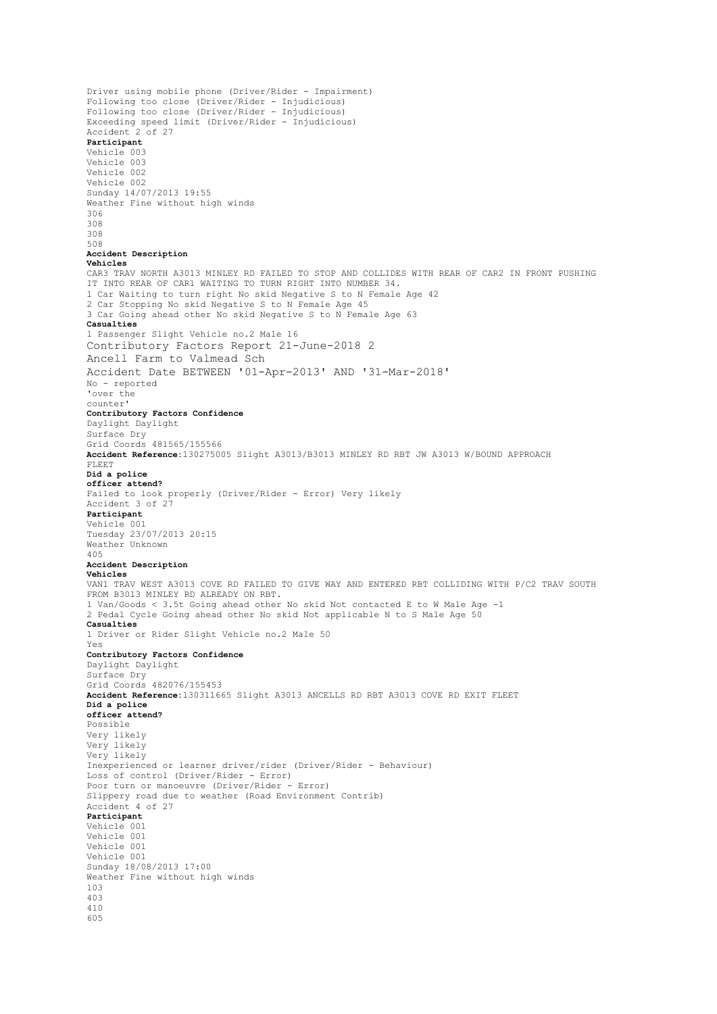```
Driver using mobile phone (Driver/Rider - Impairment)
Following too close (Driver/Rider - Injudicious)
Following too close (Driver/Rider - Injudicious)
Exceeding speed limit (Driver/Rider - Injudicious)
Accident 2 of 27
Participant
Vehicle 003
Vehicle 003
Vehicle 002
Vehicle 002
Sunday 14/07/2013 19:55
Weather Fine without high winds
306
308
308
508
Accident Description
Vehicles
CAR3 TRAV NORTH A3013 MINLEY RD FAILED TO STOP AND COLLIDES WITH REAR OF CAR2 IN FRONT PUSHING
IT INTO REAR OF CAR1 WAITING TO TURN RIGHT INTO NUMBER 34.
1 Car Waiting to turn right No skid Negative S to N Female Age 42
2 Car Stopping No skid Negative S to N Female Age 45
3 Car Going ahead other No skid Negative S to N Female Age 63
Casualties
1 Passenger Slight Vehicle no.2 Male 16
Contributory Factors Report 21-June-2018 2
Ancell Farm to Valmead Sch
Accident Date BETWEEN '01-Apr-2013' AND '31-Mar-2018'
No - reported
'over the
counter'
Contributory Factors Confidence
Daylight Daylight
Surface Dry
Grid Coords 481565/155566
Accident Reference:130275005 Slight A3013/B3013 MINLEY RD RBT JW A3013 W/BOUND APPROACH
FLEET
Did a police
officer attend?
Failed to look properly (Driver/Rider - Error) Very likely
Accident 3 of 27
Participant
Vehicle 001
Tuesday 23/07/2013 20:15
Weather Unknown
405
Accident Description
Vehicles
VAN1 TRAV WEST A3013 COVE RD FAILED TO GIVE WAY AND ENTERED RBT COLLIDING WITH P/C2 TRAV SOUTH
FROM B3013 MINLEY RD ALREADY ON RBT.
1 Van/Goods < 3.5t Going ahead other No skid Not contacted E to W Male Age -1
2 Pedal Cycle Going ahead other No skid Not applicable N to S Male Age 50
Casualties
1 Driver or Rider Slight Vehicle no.2 Male 50
Yes
Contributory Factors Confidence
Daylight Daylight
Surface Dry
Grid Coords 482076/155453
Accident Reference:130311665 Slight A3013 ANCELLS RD RBT A3013 COVE RD EXIT FLEET
Did a police
officer attend?
Possible
Very likely
Very likely
Very likely
Inexperienced or learner driver/rider (Driver/Rider - Behaviour)
Loss of control (Driver/Rider - Error)
Poor turn or manoeuvre (Driver/Rider - Error)
Slippery road due to weather (Road Environment Contrib)
Accident 4 of 27
Participant
Vehicle 001
Vehicle 001
Vehicle 001
Vehicle 001
Sunday 18/08/2013 17:00
Weather Fine without high winds
103
403
410
605
```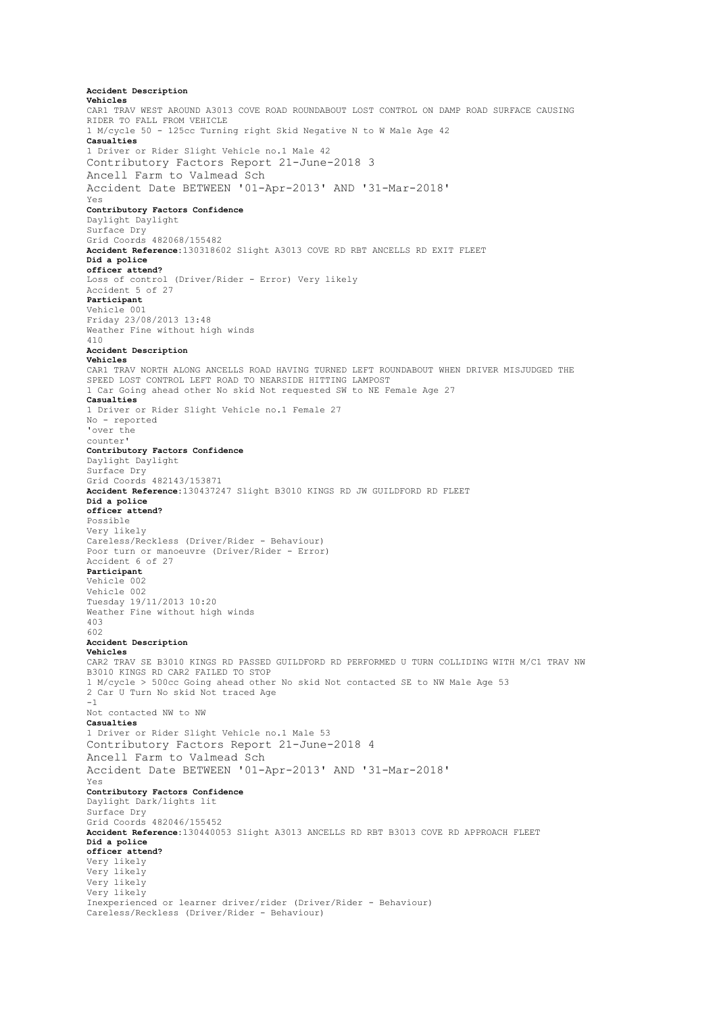**Accident Description Vehicles** CAR1 TRAV WEST AROUND A3013 COVE ROAD ROUNDABOUT LOST CONTROL ON DAMP ROAD SURFACE CAUSING RIDER TO FALL FROM VEHICLE 1 M/cycle 50 - 125cc Turning right Skid Negative N to W Male Age 42 **Casualties** 1 Driver or Rider Slight Vehicle no.1 Male 42 Contributory Factors Report 21-June-2018 3 Ancell Farm to Valmead Sch Accident Date BETWEEN '01-Apr-2013' AND '31-Mar-2018' Yes **Contributory Factors Confidence** Daylight Daylight Surface Dry Grid Coords 482068/155482 **Accident Reference:**130318602 Slight A3013 COVE RD RBT ANCELLS RD EXIT FLEET **Did a police officer attend?** Loss of control (Driver/Rider - Error) Very likely Accident 5 of 27 **Participant** Vehicle 001 Friday 23/08/2013 13:48 Weather Fine without high winds 410 **Accident Description Vehicles** CAR1 TRAV NORTH ALONG ANCELLS ROAD HAVING TURNED LEFT ROUNDABOUT WHEN DRIVER MISJUDGED THE SPEED LOST CONTROL LEFT ROAD TO NEARSIDE HITTING LAMPOST 1 Car Going ahead other No skid Not requested SW to NE Female Age 27 **Casualties** 1 Driver or Rider Slight Vehicle no.1 Female 27 No - reported 'over the counter' **Contributory Factors Confidence** Daylight Daylight Surface Dry Grid Coords 482143/153871 **Accident Reference:**130437247 Slight B3010 KINGS RD JW GUILDFORD RD FLEET **Did a police officer attend?** Possible Very likely Careless/Reckless (Driver/Rider - Behaviour) Poor turn or manoeuvre (Driver/Rider - Error) Accident 6 of 27 **Participant** Vehicle 002 Vehicle 002 Tuesday 19/11/2013 10:20 Weather Fine without high winds 403 602 **Accident Description Vehicles** CAR2 TRAV SE B3010 KINGS RD PASSED GUILDFORD RD PERFORMED U TURN COLLIDING WITH M/C1 TRAV NW B3010 KINGS RD CAR2 FAILED TO STOP 1 M/cycle > 500cc Going ahead other No skid Not contacted SE to NW Male Age 53 2 Car U Turn No skid Not traced Age -1 Not contacted NW to NW **Casualties** 1 Driver or Rider Slight Vehicle no.1 Male 53 Contributory Factors Report 21-June-2018 4 Ancell Farm to Valmead Sch Accident Date BETWEEN '01-Apr-2013' AND '31-Mar-2018' Yes **Contributory Factors Confidence** Daylight Dark/lights lit Surface Dry Grid Coords 482046/155452 **Accident Reference:**130440053 Slight A3013 ANCELLS RD RBT B3013 COVE RD APPROACH FLEET **Did a police officer attend?** Very likely Very likely Very likely Very likely Inexperienced or learner driver/rider (Driver/Rider - Behaviour) Careless/Reckless (Driver/Rider - Behaviour)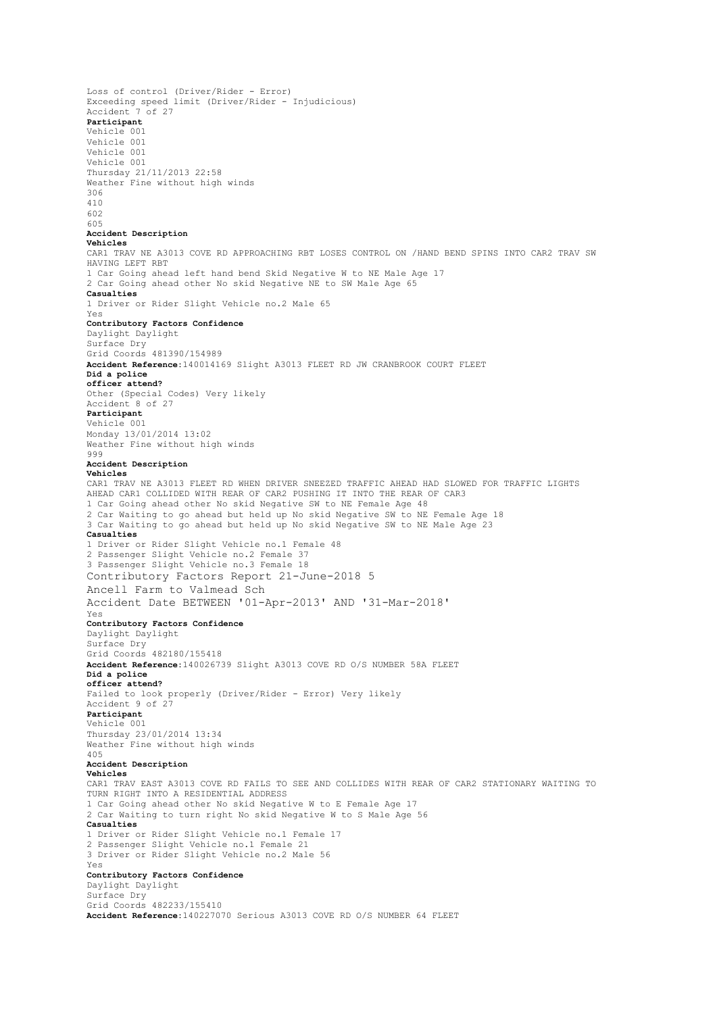Loss of control (Driver/Rider - Error) Exceeding speed limit (Driver/Rider - Injudicious) Accident 7 of 27 **Participant** Vehicle 001 Vehicle 001 Vehicle 001 Vehicle 001 Thursday 21/11/2013 22:58 Weather Fine without high winds 306 410 602 605 **Accident Description Vehicles** CAR1 TRAV NE A3013 COVE RD APPROACHING RBT LOSES CONTROL ON /HAND BEND SPINS INTO CAR2 TRAV SW HAVING LEFT RBT 1 Car Going ahead left hand bend Skid Negative W to NE Male Age 17 2 Car Going ahead other No skid Negative NE to SW Male Age 65 **Casualties** 1 Driver or Rider Slight Vehicle no.2 Male 65 Yes **Contributory Factors Confidence** Daylight Daylight Surface Dry Grid Coords 481390/154989 **Accident Reference:**140014169 Slight A3013 FLEET RD JW CRANBROOK COURT FLEET **Did a police officer attend?** Other (Special Codes) Very likely Accident 8 of 27 **Participant** Vehicle 001 Monday 13/01/2014 13:02 Weather Fine without high winds 999 **Accident Description Vehicles** CAR1 TRAV NE A3013 FLEET RD WHEN DRIVER SNEEZED TRAFFIC AHEAD HAD SLOWED FOR TRAFFIC LIGHTS AHEAD CAR1 COLLIDED WITH REAR OF CAR2 PUSHING IT INTO THE REAR OF CAR3 1 Car Going ahead other No skid Negative SW to NE Female Age 48 2 Car Waiting to go ahead but held up No skid Negative SW to NE Female Age 18 3 Car Waiting to go ahead but held up No skid Negative SW to NE Male Age 23 **Casualties** 1 Driver or Rider Slight Vehicle no.1 Female 48 2 Passenger Slight Vehicle no.2 Female 37 3 Passenger Slight Vehicle no.3 Female 18 Contributory Factors Report 21-June-2018 5 Ancell Farm to Valmead Sch Accident Date BETWEEN '01-Apr-2013' AND '31-Mar-2018' Yes **Contributory Factors Confidence** Daylight Daylight Surface Dry Grid Coords 482180/155418 **Accident Reference:**140026739 Slight A3013 COVE RD O/S NUMBER 58A FLEET **Did a police officer attend?** Failed to look properly (Driver/Rider - Error) Very likely Accident 9 of 27 **Participant** Vehicle 001 Thursday 23/01/2014 13:34 Weather Fine without high winds 405 **Accident Description Vehicles** CAR1 TRAV EAST A3013 COVE RD FAILS TO SEE AND COLLIDES WITH REAR OF CAR2 STATIONARY WAITING TO TURN RIGHT INTO A RESIDENTIAL ADDRESS 1 Car Going ahead other No skid Negative W to E Female Age 17 2 Car Waiting to turn right No skid Negative W to S Male Age 56 **Casualties** 1 Driver or Rider Slight Vehicle no.1 Female 17 2 Passenger Slight Vehicle no.1 Female 21 3 Driver or Rider Slight Vehicle no.2 Male 56 Yes **Contributory Factors Confidence** Daylight Daylight Surface Dry Grid Coords 482233/155410 **Accident Reference:**140227070 Serious A3013 COVE RD O/S NUMBER 64 FLEET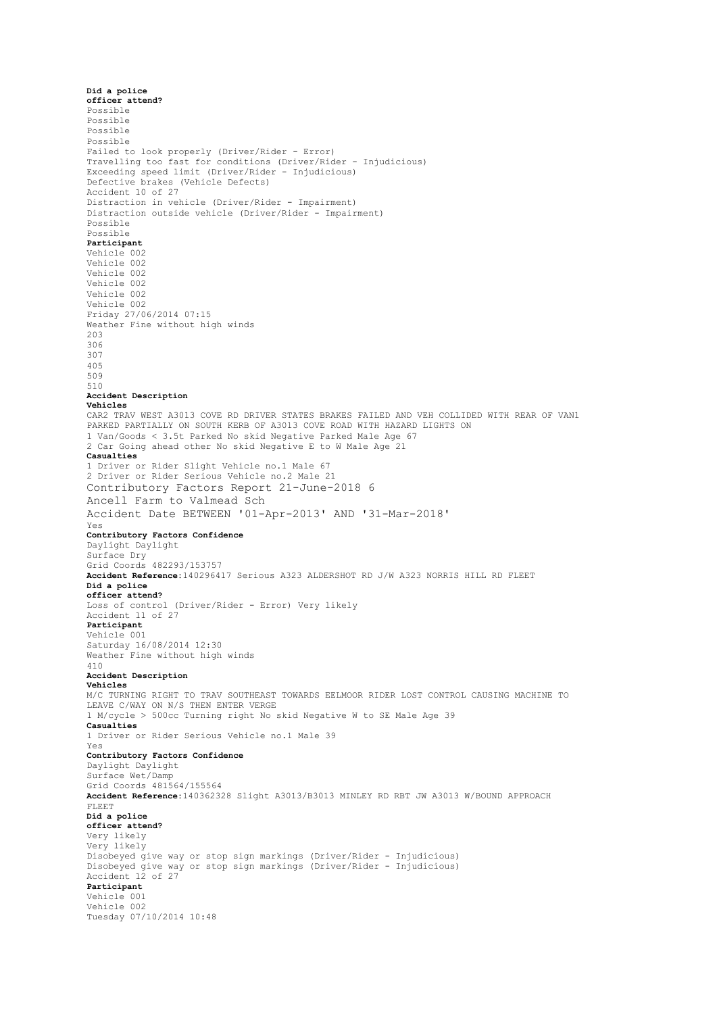**Did a police officer attend?** Possible Possible Possible Possible Failed to look properly (Driver/Rider - Error) Travelling too fast for conditions (Driver/Rider - Injudicious) Exceeding speed limit (Driver/Rider - Injudicious) Defective brakes (Vehicle Defects) Accident 10 of 27 Distraction in vehicle (Driver/Rider - Impairment) Distraction outside vehicle (Driver/Rider - Impairment) Possible Possible **Participant** Vehicle 002 Vehicle 002 Vehicle 002 Vehicle 002 Vehicle 002 Vehicle 002 Friday 27/06/2014 07:15 Weather Fine without high winds 203 306 307 405 509 510 **Accident Description Vehicles** CAR2 TRAV WEST A3013 COVE RD DRIVER STATES BRAKES FAILED AND VEH COLLIDED WITH REAR OF VAN1 PARKED PARTIALLY ON SOUTH KERB OF A3013 COVE ROAD WITH HAZARD LIGHTS ON 1 Van/Goods < 3.5t Parked No skid Negative Parked Male Age 67 2 Car Going ahead other No skid Negative E to W Male Age 21 **Casualties** 1 Driver or Rider Slight Vehicle no.1 Male 67 2 Driver or Rider Serious Vehicle no.2 Male 21 Contributory Factors Report 21-June-2018 6 Ancell Farm to Valmead Sch Accident Date BETWEEN '01-Apr-2013' AND '31-Mar-2018' Yes **Contributory Factors Confidence** Daylight Daylight Surface Dry Grid Coords 482293/153757 **Accident Reference:**140296417 Serious A323 ALDERSHOT RD J/W A323 NORRIS HILL RD FLEET **Did a police officer attend?** Loss of control (Driver/Rider - Error) Very likely Accident 11 of 27 **Participant** Vehicle 001 Saturday 16/08/2014 12:30 Weather Fine without high winds 410 **Accident Description Vehicles** M/C TURNING RIGHT TO TRAV SOUTHEAST TOWARDS EELMOOR RIDER LOST CONTROL CAUSING MACHINE TO LEAVE C/WAY ON N/S THEN ENTER VERGE 1 M/cycle > 500cc Turning right No skid Negative W to SE Male Age 39 **Casualties** 1 Driver or Rider Serious Vehicle no.1 Male 39 Yes **Contributory Factors Confidence** Daylight Daylight Surface Wet/Damp Grid Coords 481564/155564 **Accident Reference:**140362328 Slight A3013/B3013 MINLEY RD RBT JW A3013 W/BOUND APPROACH FLEET **Did a police officer attend?** Very likely Very likely Disobeyed give way or stop sign markings (Driver/Rider - Injudicious) Disobeyed give way or stop sign markings (Driver/Rider - Injudicious) Accident 12 of 27 **Participant** Vehicle 001 Vehicle 002 Tuesday 07/10/2014 10:48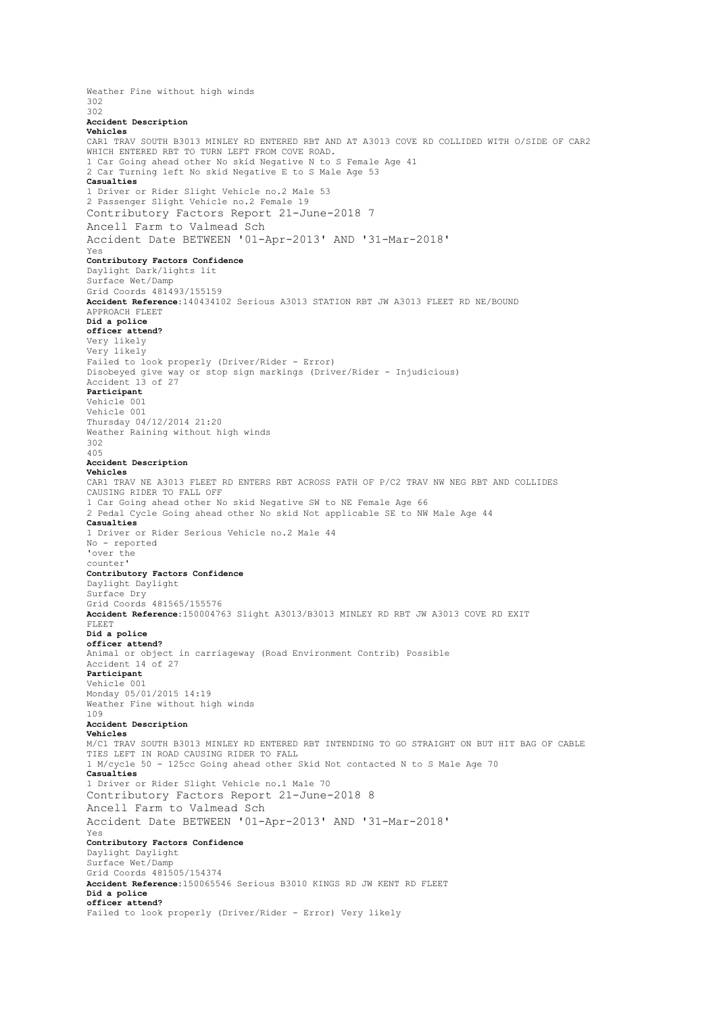Weather Fine without high winds 302 302 **Accident Description Vehicles** CAR1 TRAV SOUTH B3013 MINLEY RD ENTERED RBT AND AT A3013 COVE RD COLLIDED WITH O/SIDE OF CAR2 WHICH ENTERED RBT TO TURN LEFT FROM COVE ROAD. 1 Car Going ahead other No skid Negative N to S Female Age 41 2 Car Turning left No skid Negative E to S Male Age 53 **Casualties** 1 Driver or Rider Slight Vehicle no.2 Male 53 2 Passenger Slight Vehicle no.2 Female 19 Contributory Factors Report 21-June-2018 7 Ancell Farm to Valmead Sch Accident Date BETWEEN '01-Apr-2013' AND '31-Mar-2018' Yes **Contributory Factors Confidence** Daylight Dark/lights lit Surface Wet/Damp Grid Coords 481493/155159 **Accident Reference:**140434102 Serious A3013 STATION RBT JW A3013 FLEET RD NE/BOUND APPROACH FLEET **Did a police officer attend?** Very likely Very likely Failed to look properly (Driver/Rider - Error) Disobeyed give way or stop sign markings (Driver/Rider - Injudicious) Accident 13 of 27 **Participant** Vehicle 001 Vehicle 001 Thursday 04/12/2014 21:20 Weather Raining without high winds 302 405 **Accident Description Vehicles** CAR1 TRAV NE A3013 FLEET RD ENTERS RBT ACROSS PATH OF P/C2 TRAV NW NEG RBT AND COLLIDES CAUSING RIDER TO FALL OFF 1 Car Going ahead other No skid Negative SW to NE Female Age 66 2 Pedal Cycle Going ahead other No skid Not applicable SE to NW Male Age 44 **Casualties** 1 Driver or Rider Serious Vehicle no.2 Male 44 No - reported 'over the counter' **Contributory Factors Confidence** Daylight Daylight Surface Dry Grid Coords 481565/155576 **Accident Reference:**150004763 Slight A3013/B3013 MINLEY RD RBT JW A3013 COVE RD EXIT FLEET **Did a police officer attend?** Animal or object in carriageway (Road Environment Contrib) Possible Accident 14 of 27 **Participant** Vehicle 001 Monday 05/01/2015 14:19 Weather Fine without high winds 109 **Accident Description Vehicles** M/C1 TRAV SOUTH B3013 MINLEY RD ENTERED RBT INTENDING TO GO STRAIGHT ON BUT HIT BAG OF CABLE TIES LEFT IN ROAD CAUSING RIDER TO FALL 1 M/cycle 50 - 125cc Going ahead other Skid Not contacted N to S Male Age 70 **Casualties** 1 Driver or Rider Slight Vehicle no.1 Male 70 Contributory Factors Report 21-June-2018 8 Ancell Farm to Valmead Sch Accident Date BETWEEN '01-Apr-2013' AND '31-Mar-2018' Yes **Contributory Factors Confidence** Daylight Daylight Surface Wet/Damp Grid Coords 481505/154374 **Accident Reference:**150065546 Serious B3010 KINGS RD JW KENT RD FLEET **Did a police officer attend?** Failed to look properly (Driver/Rider - Error) Very likely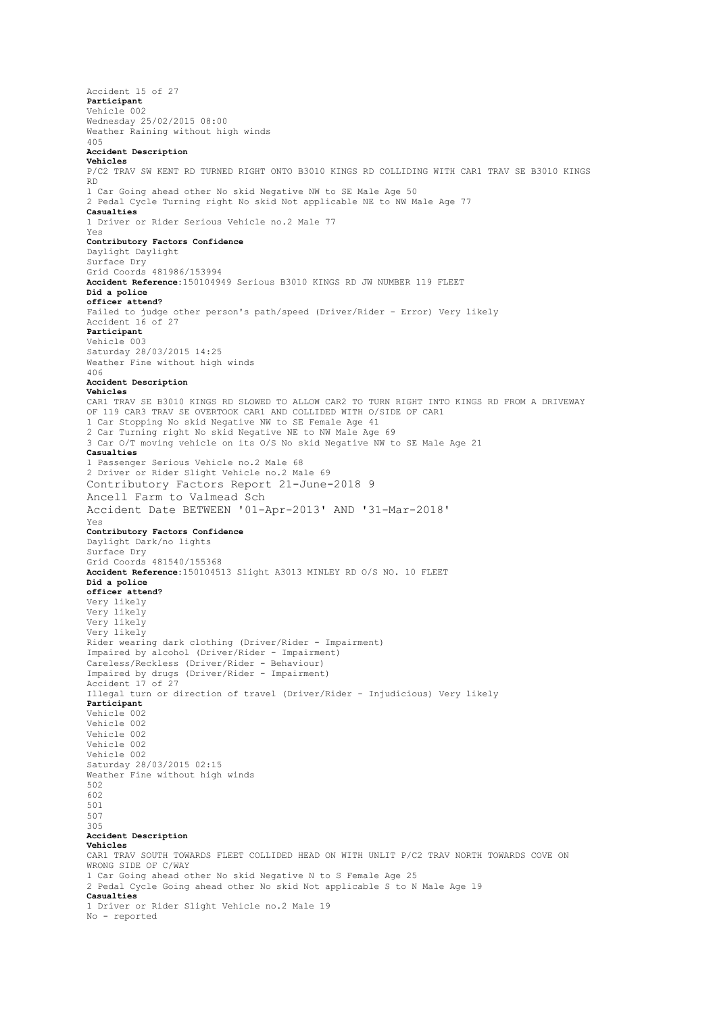Accident 15 of 27 **Participant** Vehicle 002 Wednesday 25/02/2015 08:00 Weather Raining without high winds 405 **Accident Description Vehicles** P/C2 TRAV SW KENT RD TURNED RIGHT ONTO B3010 KINGS RD COLLIDING WITH CAR1 TRAV SE B3010 KINGS RD 1 Car Going ahead other No skid Negative NW to SE Male Age 50 2 Pedal Cycle Turning right No skid Not applicable NE to NW Male Age 77 **Casualties** 1 Driver or Rider Serious Vehicle no.2 Male 77 Yes **Contributory Factors Confidence** Daylight Daylight Surface Dry Grid Coords 481986/153994 **Accident Reference:**150104949 Serious B3010 KINGS RD JW NUMBER 119 FLEET **Did a police officer attend?** Failed to judge other person's path/speed (Driver/Rider - Error) Very likely Accident 16 of 27 **Participant** Vehicle 003 Saturday 28/03/2015 14:25 Weather Fine without high winds 406 **Accident Description Vehicles** CAR1 TRAV SE B3010 KINGS RD SLOWED TO ALLOW CAR2 TO TURN RIGHT INTO KINGS RD FROM A DRIVEWAY OF 119 CAR3 TRAV SE OVERTOOK CAR1 AND COLLIDED WITH O/SIDE OF CAR1 1 Car Stopping No skid Negative NW to SE Female Age 41 2 Car Turning right No skid Negative NE to NW Male Age 69 3 Car O/T moving vehicle on its O/S No skid Negative NW to SE Male Age 21 **Casualties** 1 Passenger Serious Vehicle no.2 Male 68 2 Driver or Rider Slight Vehicle no.2 Male 69 Contributory Factors Report 21-June-2018 9 Ancell Farm to Valmead Sch Accident Date BETWEEN '01-Apr-2013' AND '31-Mar-2018' Yes **Contributory Factors Confidence** Daylight Dark/no lights Surface Dry Grid Coords 481540/155368 **Accident Reference:**150104513 Slight A3013 MINLEY RD O/S NO. 10 FLEET **Did a police officer attend?** Very likely Very likely Very likely Very likely Rider wearing dark clothing (Driver/Rider - Impairment) Impaired by alcohol (Driver/Rider - Impairment) Careless/Reckless (Driver/Rider - Behaviour) Impaired by drugs (Driver/Rider - Impairment) Accident 17 of 27 Illegal turn or direction of travel (Driver/Rider - Injudicious) Very likely **Participant** Vehicle 002 Vehicle 002 Vehicle 002 Vehicle 002 Vehicle 002 Saturday 28/03/2015 02:15 Weather Fine without high winds 502 602 501 507 305 **Accident Description Vehicles** CAR1 TRAV SOUTH TOWARDS FLEET COLLIDED HEAD ON WITH UNLIT P/C2 TRAV NORTH TOWARDS COVE ON WRONG SIDE OF C/WAY 1 Car Going ahead other No skid Negative N to S Female Age 25 2 Pedal Cycle Going ahead other No skid Not applicable S to N Male Age 19 **Casualties** 1 Driver or Rider Slight Vehicle no.2 Male 19 No - reported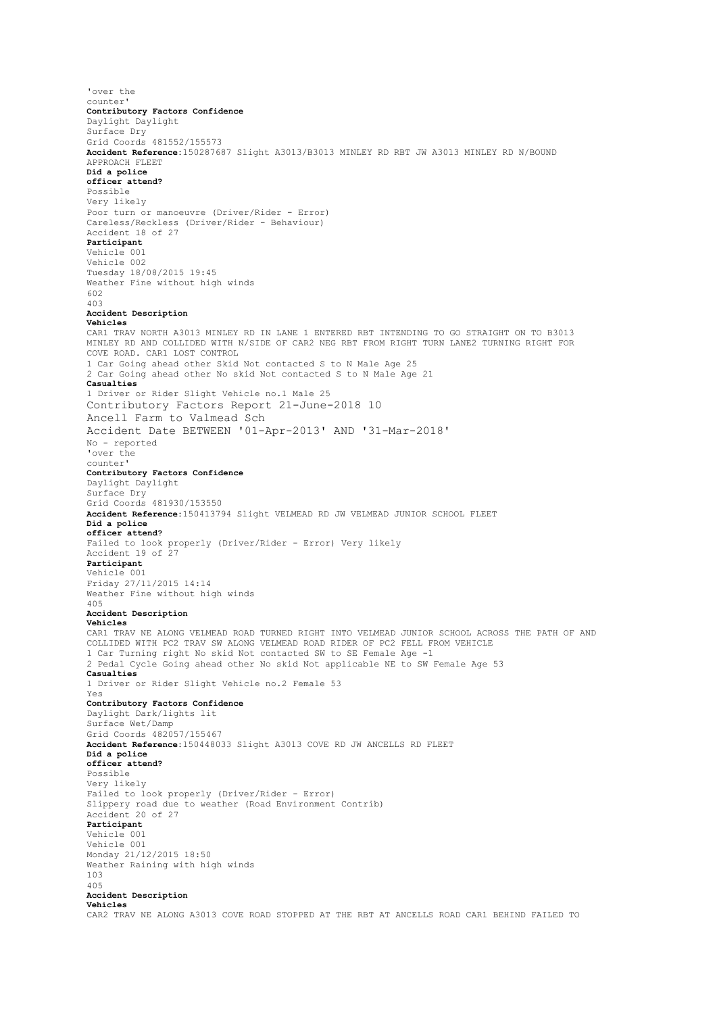'over the counter' **Contributory Factors Confidence** Daylight Daylight Surface Dry Grid Coords 481552/155573 **Accident Reference:**150287687 Slight A3013/B3013 MINLEY RD RBT JW A3013 MINLEY RD N/BOUND APPROACH FLEET **Did a police officer attend?** Possible Very likely Poor turn or manoeuvre (Driver/Rider - Error) Careless/Reckless (Driver/Rider - Behaviour) Accident 18 of 27 **Participant** Vehicle 001 Vehicle 002 Tuesday 18/08/2015 19:45 Weather Fine without high winds 602 403 **Accident Description Vehicles** CAR1 TRAV NORTH A3013 MINLEY RD IN LANE 1 ENTERED RBT INTENDING TO GO STRAIGHT ON TO B3013 MINLEY RD AND COLLIDED WITH N/SIDE OF CAR2 NEG RBT FROM RIGHT TURN LANE2 TURNING RIGHT FOR COVE ROAD. CAR1 LOST CONTROL 1 Car Going ahead other Skid Not contacted S to N Male Age 25 2 Car Going ahead other No skid Not contacted S to N Male Age 21 **Casualties** 1 Driver or Rider Slight Vehicle no.1 Male 25 Contributory Factors Report 21-June-2018 10 Ancell Farm to Valmead Sch Accident Date BETWEEN '01-Apr-2013' AND '31-Mar-2018' No - reported 'over the counter' **Contributory Factors Confidence** Daylight Daylight Surface Dry Grid Coords 481930/153550 **Accident Reference:**150413794 Slight VELMEAD RD JW VELMEAD JUNIOR SCHOOL FLEET **Did a police officer attend?** Failed to look properly (Driver/Rider - Error) Very likely Accident 19 of 27 **Participant** Vehicle 001 Friday 27/11/2015 14:14 Weather Fine without high winds 405 **Accident Description Vehicles** CAR1 TRAV NE ALONG VELMEAD ROAD TURNED RIGHT INTO VELMEAD JUNIOR SCHOOL ACROSS THE PATH OF AND COLLIDED WITH PC2 TRAV SW ALONG VELMEAD ROAD RIDER OF PC2 FELL FROM VEHICLE 1 Car Turning right No skid Not contacted SW to SE Female Age -1 2 Pedal Cycle Going ahead other No skid Not applicable NE to SW Female Age 53 **Casualties** 1 Driver or Rider Slight Vehicle no.2 Female 53 Yes **Contributory Factors Confidence** Daylight Dark/lights lit Surface Wet/Damp Grid Coords 482057/155467 **Accident Reference:**150448033 Slight A3013 COVE RD JW ANCELLS RD FLEET **Did a police officer attend?** Possible Very likely Failed to look properly (Driver/Rider - Error) Slippery road due to weather (Road Environment Contrib) Accident 20 of 27 **Participant** Vehicle 001 Vehicle 001 Monday 21/12/2015 18:50 Weather Raining with high winds 103 405 **Accident Description Vehicles** CAR2 TRAV NE ALONG A3013 COVE ROAD STOPPED AT THE RBT AT ANCELLS ROAD CAR1 BEHIND FAILED TO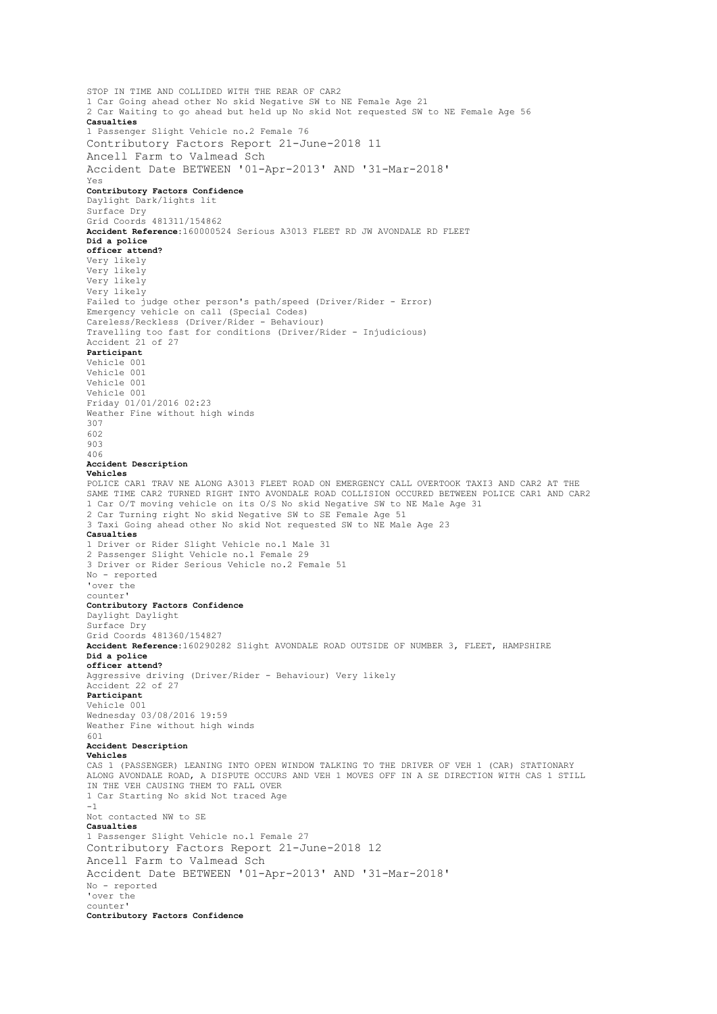STOP IN TIME AND COLLIDED WITH THE REAR OF CAR2 1 Car Going ahead other No skid Negative SW to NE Female Age 21 2 Car Waiting to go ahead but held up No skid Not requested SW to NE Female Age 56 **Casualties** 1 Passenger Slight Vehicle no.2 Female 76 Contributory Factors Report 21-June-2018 11 Ancell Farm to Valmead Sch Accident Date BETWEEN '01-Apr-2013' AND '31-Mar-2018' Yes **Contributory Factors Confidence** Daylight Dark/lights lit Surface Dry Grid Coords 481311/154862 **Accident Reference:**160000524 Serious A3013 FLEET RD JW AVONDALE RD FLEET **Did a police officer attend?** Very likely Very likely Very likely Very likely Failed to judge other person's path/speed (Driver/Rider - Error) Emergency vehicle on call (Special Codes) Careless/Reckless (Driver/Rider - Behaviour) Travelling too fast for conditions (Driver/Rider - Injudicious) Accident 21 of 27 **Participant** Vehicle 001 Vehicle 001 Vehicle 001 Vehicle 001 Friday 01/01/2016 02:23 Weather Fine without high winds 307 602 903 406 **Accident Description Vehicles** POLICE CAR1 TRAV NE ALONG A3013 FLEET ROAD ON EMERGENCY CALL OVERTOOK TAXI3 AND CAR2 AT THE SAME TIME CAR2 TURNED RIGHT INTO AVONDALE ROAD COLLISION OCCURED BETWEEN POLICE CAR1 AND CAR2 1 Car O/T moving vehicle on its O/S No skid Negative SW to NE Male Age 31 2 Car Turning right No skid Negative SW to SE Female Age 51 3 Taxi Going ahead other No skid Not requested SW to NE Male Age 23 **Casualties** 1 Driver or Rider Slight Vehicle no.1 Male 31 2 Passenger Slight Vehicle no.1 Female 29 3 Driver or Rider Serious Vehicle no.2 Female 51 No - reported 'over the counter' **Contributory Factors Confidence** Daylight Daylight Surface Dry Grid Coords 481360/154827 **Accident Reference:**160290282 Slight AVONDALE ROAD OUTSIDE OF NUMBER 3, FLEET, HAMPSHIRE **Did a police officer attend?** Aggressive driving (Driver/Rider - Behaviour) Very likely Accident 22 of 27 **Participant** Vehicle 001 Wednesday 03/08/2016 19:59 Weather Fine without high winds  $601$ **Accident Description Vehicles** CAS 1 (PASSENGER) LEANING INTO OPEN WINDOW TALKING TO THE DRIVER OF VEH 1 (CAR) STATIONARY ALONG AVONDALE ROAD, A DISPUTE OCCURS AND VEH 1 MOVES OFF IN A SE DIRECTION WITH CAS 1 STILL IN THE VEH CAUSING THEM TO FALL OVER 1 Car Starting No skid Not traced Age -1 Not contacted NW to SE **Casualties** 1 Passenger Slight Vehicle no.1 Female 27 Contributory Factors Report 21-June-2018 12 Ancell Farm to Valmead Sch Accident Date BETWEEN '01-Apr-2013' AND '31-Mar-2018' No - reported 'over the counter' **Contributory Factors Confidence**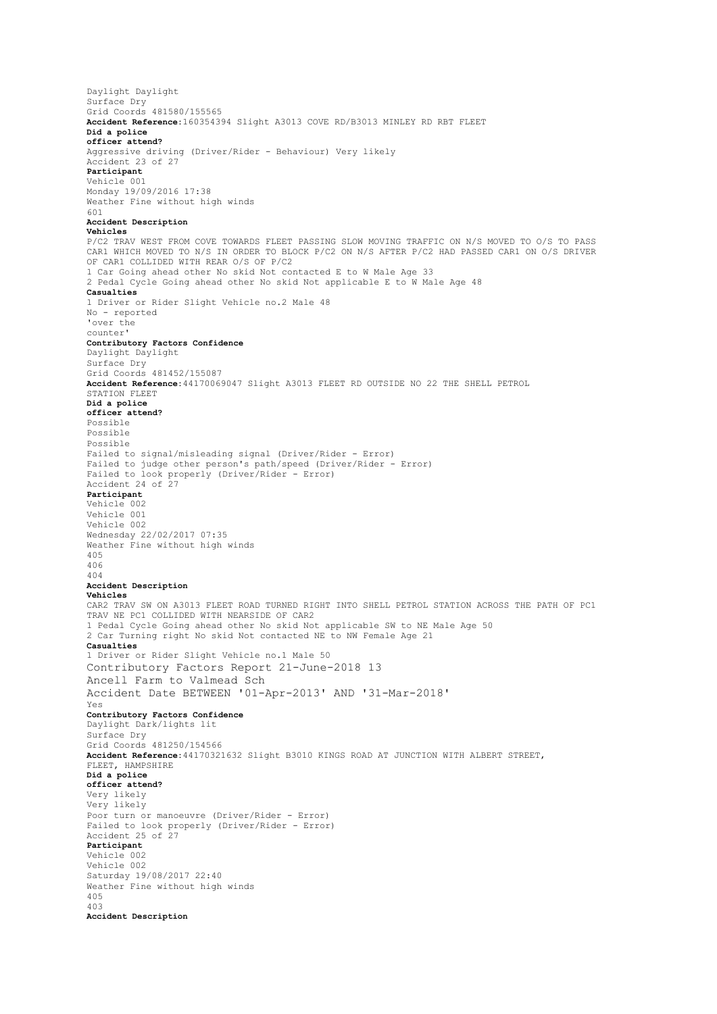Daylight Daylight Surface Dry Grid Coords 481580/155565 **Accident Reference:**160354394 Slight A3013 COVE RD/B3013 MINLEY RD RBT FLEET **Did a police officer attend?** Aggressive driving (Driver/Rider - Behaviour) Very likely Accident 23 of 27 **Participant** Vehicle 001 Monday 19/09/2016 17:38 Weather Fine without high winds 601 **Accident Description Vehicles** P/C2 TRAV WEST FROM COVE TOWARDS FLEET PASSING SLOW MOVING TRAFFIC ON N/S MOVED TO O/S TO PASS CAR1 WHICH MOVED TO N/S IN ORDER TO BLOCK P/C2 ON N/S AFTER P/C2 HAD PASSED CAR1 ON O/S DRIVER OF CAR1 COLLIDED WITH REAR O/S OF P/C2 1 Car Going ahead other No skid Not contacted E to W Male Age 33 2 Pedal Cycle Going ahead other No skid Not applicable E to W Male Age 48 **Casualties** 1 Driver or Rider Slight Vehicle no.2 Male 48 No - reported 'over the counter' **Contributory Factors Confidence** Daylight Daylight Surface Dry Grid Coords 481452/155087 **Accident Reference:**44170069047 Slight A3013 FLEET RD OUTSIDE NO 22 THE SHELL PETROL STATION FLEET **Did a police officer attend?** Possible Possible Possible Failed to signal/misleading signal (Driver/Rider - Error) Failed to judge other person's path/speed (Driver/Rider - Error) Failed to look properly (Driver/Rider - Error) Accident 24 of 27 **Participant** Vehicle 002 Vehicle 001 Vehicle 002 Wednesday 22/02/2017 07:35 Weather Fine without high winds 405 406 404 **Accident Description Vehicles** CAR2 TRAV SW ON A3013 FLEET ROAD TURNED RIGHT INTO SHELL PETROL STATION ACROSS THE PATH OF PC1 TRAV NE PC1 COLLIDED WITH NEARSIDE OF CAR2 1 Pedal Cycle Going ahead other No skid Not applicable SW to NE Male Age 50 2 Car Turning right No skid Not contacted NE to NW Female Age 21 **Casualties** 1 Driver or Rider Slight Vehicle no.1 Male 50 Contributory Factors Report 21-June-2018 13 Ancell Farm to Valmead Sch Accident Date BETWEEN '01-Apr-2013' AND '31-Mar-2018' Yes **Contributory Factors Confidence** Daylight Dark/lights lit Surface Dry Grid Coords 481250/154566 **Accident Reference:**44170321632 Slight B3010 KINGS ROAD AT JUNCTION WITH ALBERT STREET, FLEET, HAMPSHIRE **Did a police officer attend?** Very likely Very likely Poor turn or manoeuvre (Driver/Rider - Error) Failed to look properly (Driver/Rider - Error) Accident 25 of 27 **Participant** Vehicle 002 Vehicle 002 Saturday 19/08/2017 22:40 Weather Fine without high winds 405 403 **Accident Description**